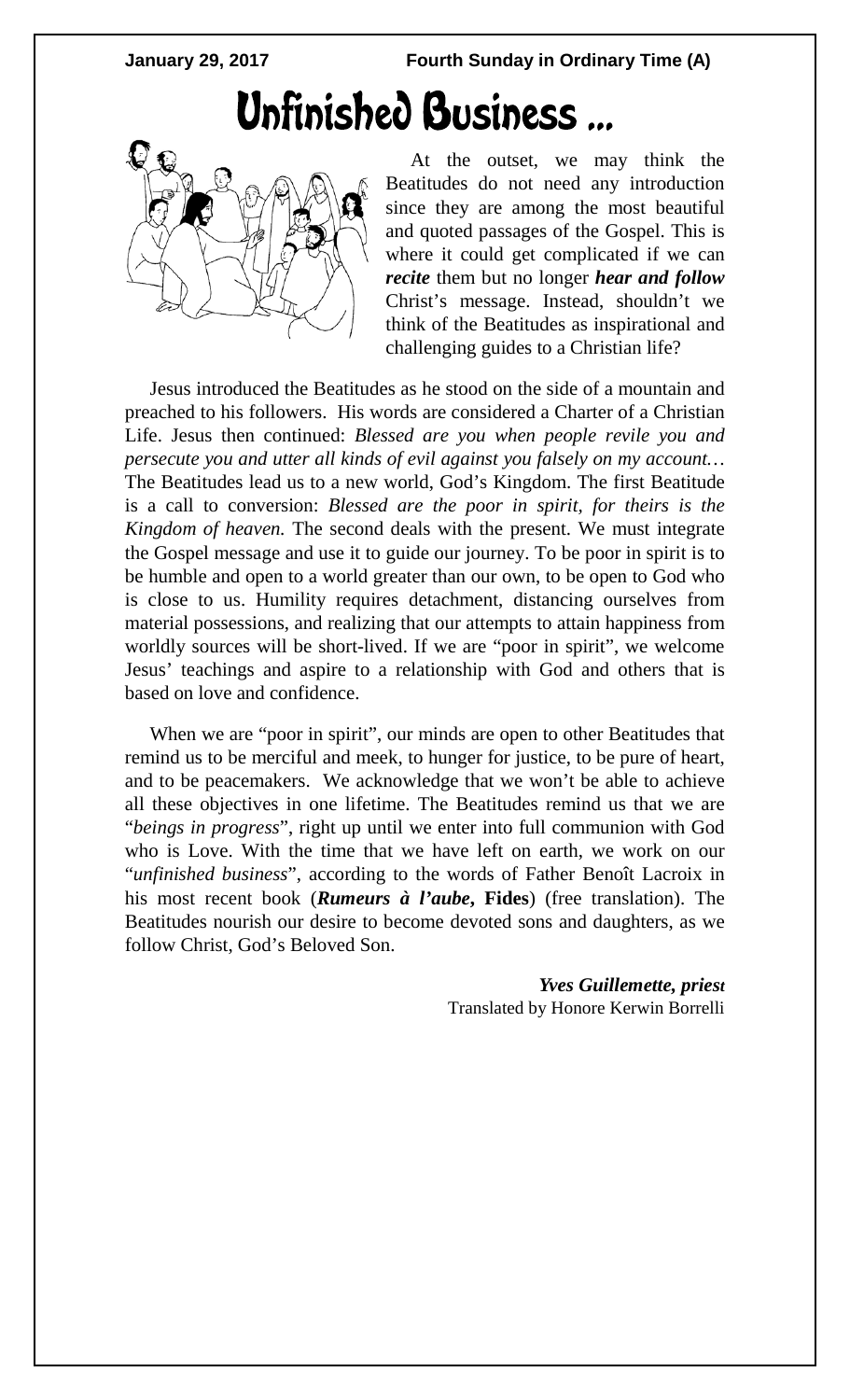**January 29, 2017 Fourth Sunday in Ordinary Time (A)**

## Unfinished Business...



At the outset, we may think the Beatitudes do not need any introduction since they are among the most beautiful and quoted passages of the Gospel. This is where it could get complicated if we can *recite* them but no longer *hear and follow*  Christ's message. Instead, shouldn't we think of the Beatitudes as inspirational and challenging guides to a Christian life?

Jesus introduced the Beatitudes as he stood on the side of a mountain and preached to his followers. His words are considered a Charter of a Christian Life. Jesus then continued: *Blessed are you when people revile you and persecute you and utter all kinds of evil against you falsely on my account…*  The Beatitudes lead us to a new world, God's Kingdom. The first Beatitude is a call to conversion: *Blessed are the poor in spirit, for theirs is the Kingdom of heaven.* The second deals with the present. We must integrate the Gospel message and use it to guide our journey. To be poor in spirit is to be humble and open to a world greater than our own, to be open to God who is close to us. Humility requires detachment, distancing ourselves from material possessions, and realizing that our attempts to attain happiness from worldly sources will be short-lived. If we are "poor in spirit", we welcome Jesus' teachings and aspire to a relationship with God and others that is based on love and confidence.

When we are "poor in spirit", our minds are open to other Beatitudes that remind us to be merciful and meek, to hunger for justice, to be pure of heart, and to be peacemakers. We acknowledge that we won't be able to achieve all these objectives in one lifetime. The Beatitudes remind us that we are "*beings in progress*", right up until we enter into full communion with God who is Love. With the time that we have left on earth, we work on our "*unfinished business*", according to the words of Father Benoît Lacroix in his most recent book (*Rumeurs à l'aube***, Fides**) (free translation). The Beatitudes nourish our desire to become devoted sons and daughters, as we follow Christ, God's Beloved Son.

> *Yves Guillemette, priest* Translated by Honore Kerwin Borrelli